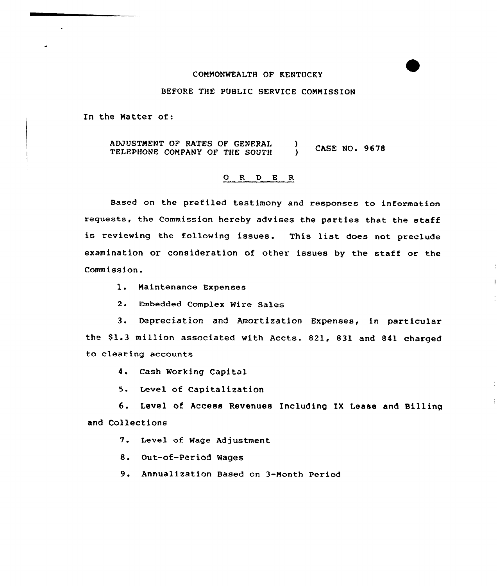### COMMONWEALTH OF KENTUCKY

## BEFORE THE PUBLIC SERVICE COMMISSION

In the Matter of:

ADJUSTMENT OF RATES OF GENERAL  $\lambda$ **CASE NO. 9678** TELEPHONE COMPANY OF THE SOUTH  $\mathbf{v}$ 

#### ORDER

Based on the prefiled testimony and responses to information requests, the Commission hereby advises the parties that the staff is reviewing the following issues. This list does not preclude examination or consideration of other issues by the staff or the Commission.

1. Maintenance Expenses

2. Embedded Complex Wire Sales

3. Depreciation and Amortization Expenses, in particular the \$1.3 million associated with Accts. 821, 831 and 841 charged to clearing accounts

4. Cash Working Capital

5. Level of Capitalization

6. Level of Access Revenues Including IX Lease and Billing and Collections

 $\ddot{\phantom{a}}$ 

7. Level of Wage Adjustment

8. Out-of-Period Wages

9. Annualization Based on 3-Month Period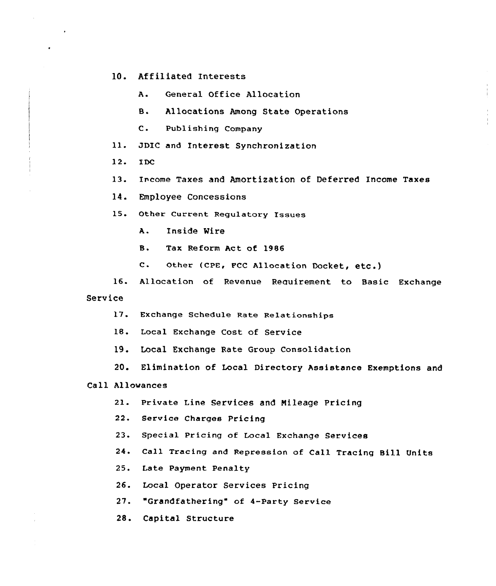#### $10<sub>z</sub>$ Affiliated Interests

 $\lambda$ . General Office Allocation

 $B.$ Allocations Among State Operations

 $\mathbf{c}$ . Publishing Company

JDIC and Interest Synchronization  $11.$ 

 $12.$ **TDC** 

13. Income Taxes and Amortization of Deferred Income Taxes

14. Employee Concessions

15. Other Current Regulatory Issues

 $A.$ Inside Wire

 $\mathbf{B}$ . Tax Reform Act of 1986

 $\mathbf{c}$ . Other (CPE, FCC Allocation Docket, etc.)

 $16.$ Allocation of Revenue Requirement to Basic Exchange Service

17. Exchange Schedule Rate Relationships

18. Local Exchange Cost of Service

- 19. Local Exchange Rate Group Consolidation
- 20. Elimination of Local Directory Assistance Exemptions and

# Call Allowances

- Private Line Services and Mileage Pricing  $21.$
- 22. Service Charges Pricing
- $23.$ Special Pricing of Local Exchange Services
- 24. Call Tracing and Repression of Call Tracing Bill Units

25. Late Payment Penalty

26. Local Operator Services Pricing

27. "Grandfathering" of 4-Party Service

28. Capital Structure